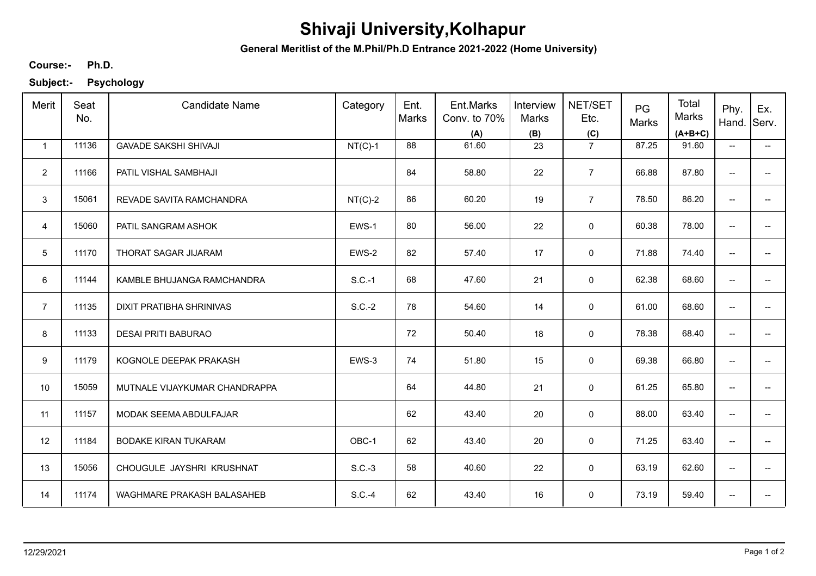## **Shivaji University,Kolhapur**

**General Meritlist of the M.Phil/Ph.D Entrance 2021-2022 (Home University)**

**Ph.D. Course:-**

**Subject:- Psychology**

| Merit          | Seat<br>No. | <b>Candidate Name</b>         | Category  | Ent.<br>Marks | Ent.Marks<br>Conv. to 70%<br>(A) | Interview<br>Marks<br>(B) | NET/SET<br>Etc.<br>(C) | PG<br>Marks | Total<br><b>Marks</b><br>$(A+B+C)$ | Phy.<br>Hand.            | Ex.<br>Serv.             |
|----------------|-------------|-------------------------------|-----------|---------------|----------------------------------|---------------------------|------------------------|-------------|------------------------------------|--------------------------|--------------------------|
| $\mathbf{1}$   | 11136       | <b>GAVADE SAKSHI SHIVAJI</b>  | $NT(C)-1$ | 88            | 61.60                            | 23                        | $\overline{7}$         | 87.25       | 91.60                              | $\overline{\phantom{a}}$ | $\overline{\phantom{a}}$ |
| $\overline{2}$ | 11166       | PATIL VISHAL SAMBHAJI         |           | 84            | 58.80                            | 22                        | $\overline{7}$         | 66.88       | 87.80                              | --                       |                          |
| 3              | 15061       | REVADE SAVITA RAMCHANDRA      | $NT(C)-2$ | 86            | 60.20                            | 19                        | $\overline{7}$         | 78.50       | 86.20                              | $\overline{\phantom{a}}$ | $\overline{a}$           |
| $\overline{4}$ | 15060       | PATIL SANGRAM ASHOK           | EWS-1     | 80            | 56.00                            | 22                        | $\mathsf 0$            | 60.38       | 78.00                              | $\overline{\phantom{a}}$ | $\overline{a}$           |
| 5              | 11170       | THORAT SAGAR JIJARAM          | EWS-2     | 82            | 57.40                            | 17                        | $\mathbf 0$            | 71.88       | 74.40                              | $\overline{\phantom{a}}$ | $\overline{\phantom{a}}$ |
| 6              | 11144       | KAMBLE BHUJANGA RAMCHANDRA    | $S.C.-1$  | 68            | 47.60                            | 21                        | 0                      | 62.38       | 68.60                              | $\overline{\phantom{m}}$ | $\overline{\phantom{a}}$ |
| $\overline{7}$ | 11135       | DIXIT PRATIBHA SHRINIVAS      | $S.C.-2$  | 78            | 54.60                            | 14                        | 0                      | 61.00       | 68.60                              | $\overline{\phantom{a}}$ |                          |
| 8              | 11133       | <b>DESAI PRITI BABURAO</b>    |           | 72            | 50.40                            | 18                        | 0                      | 78.38       | 68.40                              | $\overline{\phantom{a}}$ |                          |
| 9              | 11179       | KOGNOLE DEEPAK PRAKASH        | EWS-3     | 74            | 51.80                            | 15                        | $\mathbf 0$            | 69.38       | 66.80                              | --                       |                          |
| 10             | 15059       | MUTNALE VIJAYKUMAR CHANDRAPPA |           | 64            | 44.80                            | 21                        | $\mathbf 0$            | 61.25       | 65.80                              | --                       |                          |
| 11             | 11157       | MODAK SEEMA ABDULFAJAR        |           | 62            | 43.40                            | 20                        | $\mathbf 0$            | 88.00       | 63.40                              | $\overline{\phantom{a}}$ | $\overline{\phantom{a}}$ |
| 12             | 11184       | BODAKE KIRAN TUKARAM          | OBC-1     | 62            | 43.40                            | 20                        | 0                      | 71.25       | 63.40                              | $\overline{\phantom{m}}$ | --                       |
| 13             | 15056       | CHOUGULE JAYSHRI KRUSHNAT     | $S.C.-3$  | 58            | 40.60                            | 22                        | 0                      | 63.19       | 62.60                              | $\overline{\phantom{a}}$ | $\overline{\phantom{a}}$ |
| 14             | 11174       | WAGHMARE PRAKASH BALASAHEB    | $S.C.-4$  | 62            | 43.40                            | 16                        | 0                      | 73.19       | 59.40                              | $\overline{\phantom{a}}$ |                          |